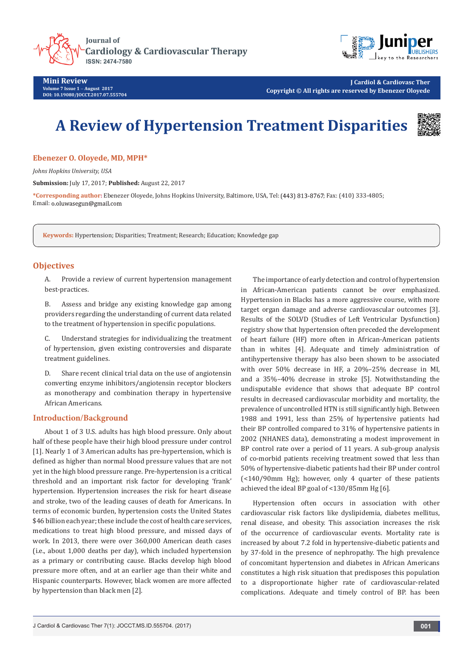



**Mini Review Volume 7 Issue 1** - **August 2017 DOI: [10.19080/JOCCT.2017.07.555704](http://dx.doi.org/10.19080/JOCCT.2017.07.555704
)**

**J Cardiol & Cardiovasc Ther Copyright © All rights are reserved by Ebenezer Oloyede**

# **A Review of Hypertension Treatment Disparities**



## **Ebenezer O. Oloyede, MD, MPH\***

*Johns Hopkins University, USA*

**Submission:** July 17, 2017; **Published:** August 22, 2017

\*Corresponding author: Ebenezer Oloyede, Johns Hopkins University, Baltimore, USA, Tel: (443) 813-8767; Fax: (410) 333-4805; Email: o.oluwasegun@gmail.com

**Keywords:** Hypertension; Disparities; Treatment; Research; Education; Knowledge gap

## **Objectives**

A. Provide a review of current hypertension management best-practices.

B. Assess and bridge any existing knowledge gap among providers regarding the understanding of current data related to the treatment of hypertension in specific populations.

C. Understand strategies for individualizing the treatment of hypertension, given existing controversies and disparate treatment guidelines.

D. Share recent clinical trial data on the use of angiotensin converting enzyme inhibitors/angiotensin receptor blockers as monotherapy and combination therapy in hypertensive African Americans.

## **Introduction/Background**

About 1 of 3 U.S. adults has high blood pressure. Only about half of these people have their high blood pressure under control [1]. Nearly 1 of 3 American adults has pre-hypertension, which is defined as higher than normal blood pressure values that are not yet in the high blood pressure range. Pre-hypertension is a critical threshold and an important risk factor for developing 'frank' hypertension. Hypertension increases the risk for heart disease and stroke, two of the leading causes of death for Americans. In terms of economic burden, hypertension costs the United States \$46 billion each year; these include the cost of health care services, medications to treat high blood pressure, and missed days of work. In 2013, there were over 360,000 American death cases (i.e., about 1,000 deaths per day), which included hypertension as a primary or contributing cause. Blacks develop high blood pressure more often, and at an earlier age than their white and Hispanic counterparts. However, black women are more affected by hypertension than black men [2].

The importance of early detection and control of hypertension in African-American patients cannot be over emphasized. Hypertension in Blacks has a more aggressive course, with more target organ damage and adverse cardiovascular outcomes [3]. Results of the SOLVD (Studies of Left Ventricular Dysfunction) registry show that hypertension often preceded the development of heart failure (HF) more often in African-American patients than in whites [4]. Adequate and timely administration of antihypertensive therapy has also been shown to be associated with over 50% decrease in HF, a 20%–25% decrease in MI, and a 35%–40% decrease in stroke [5]. Notwithstanding the undisputable evidence that shows that adequate BP control results in decreased cardiovascular morbidity and mortality, the prevalence of uncontrolled HTN is still significantly high. Between 1988 and 1991, less than 25% of hypertensive patients had their BP controlled compared to 31% of hypertensive patients in 2002 (NHANES data), demonstrating a modest improvement in BP control rate over a period of 11 years. A sub-group analysis of co-morbid patients receiving treatment sowed that less than 50% of hypertensive-diabetic patients had their BP under control (<140/90mm Hg); however, only 4 quarter of these patients achieved the ideal BP goal of <130/85mm Hg [6].

Hypertension often occurs in association with other cardiovascular risk factors like dyslipidemia, diabetes mellitus, renal disease, and obesity. This association increases the risk of the occurrence of cardiovascular events. Mortality rate is increased by about 7.2 fold in hypertensive-diabetic patients and by 37-fold in the presence of nephropathy. The high prevalence of concomitant hypertension and diabetes in African Americans constitutes a high risk situation that predisposes this population to a disproportionate higher rate of cardiovascular-related complications. Adequate and timely control of BP. has been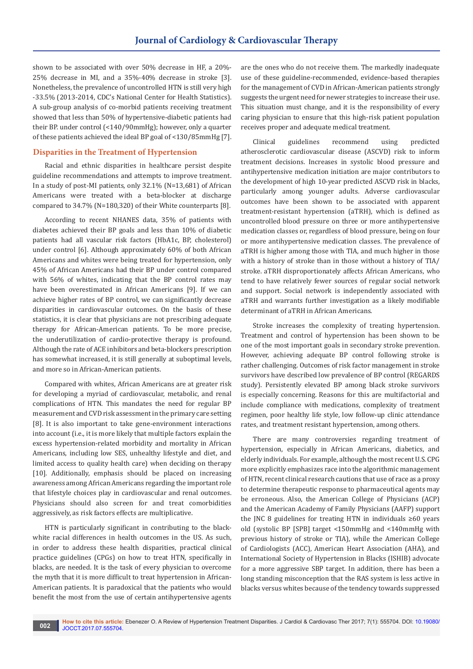shown to be associated with over 50% decrease in HF, a 20%- 25% decrease in MI, and a 35%-40% decrease in stroke [3]. Nonetheless, the prevalence of uncontrolled HTN is still very high -33.5% (2013-2014, CDC's National Center for Health Statistics). A sub-group analysis of co-morbid patients receiving treatment showed that less than 50% of hypertensive-diabetic patients had their BP. under control (<140/90mmHg); however, only a quarter of these patients achieved the ideal BP goal of <130/85mmHg [7].

## **Disparities in the Treatment of Hypertension**

Racial and ethnic disparities in healthcare persist despite guideline recommendations and attempts to improve treatment. In a study of post-MI patients, only 32.1% (N=13,681) of African Americans were treated with a beta-blocker at discharge compared to 34.7% (N=180,320) of their White counterparts [8].

According to recent NHANES data, 35% of patients with diabetes achieved their BP goals and less than 10% of diabetic patients had all vascular risk factors (HbA1c, BP, cholesterol) under control [6]. Although approximately 60% of both African Americans and whites were being treated for hypertension, only 45% of African Americans had their BP under control compared with 56% of whites, indicating that the BP control rates may have been overestimated in African Americans [9]. If we can achieve higher rates of BP control, we can significantly decrease disparities in cardiovascular outcomes. On the basis of these statistics, it is clear that physicians are not prescribing adequate therapy for African-American patients. To be more precise, the underutilization of cardio-protective therapy is profound. Although the rate of ACE inhibitors and beta-blockers prescription has somewhat increased, it is still generally at suboptimal levels, and more so in African-American patients.

Compared with whites, African Americans are at greater risk for developing a myriad of cardiovascular, metabolic, and renal complications of HTN. This mandates the need for regular BP measurement and CVD risk assessment in the primary care setting [8]. It is also important to take gene-environment interactions into account (i.e., it is more likely that multiple factors explain the excess hypertension-related morbidity and mortality in African Americans, including low SES, unhealthy lifestyle and diet, and limited access to quality health care) when deciding on therapy [10]. Additionally, emphasis should be placed on increasing awareness among African Americans regarding the important role that lifestyle choices play in cardiovascular and renal outcomes. Physicians should also screen for and treat comorbidities aggressively, as risk factors effects are multiplicative.

HTN is particularly significant in contributing to the blackwhite racial differences in health outcomes in the US. As such, in order to address these health disparities, practical clinical practice guidelines (CPGs) on how to treat HTN, specifically in blacks, are needed. It is the task of every physician to overcome the myth that it is more difficult to treat hypertension in African-American patients. It is paradoxical that the patients who would benefit the most from the use of certain antihypertensive agents

are the ones who do not receive them. The markedly inadequate use of these guideline-recommended, evidence-based therapies for the management of CVD in African-American patients strongly suggests the urgent need for newer strategies to increase their use. This situation must change, and it is the responsibility of every caring physician to ensure that this high-risk patient population receives proper and adequate medical treatment.

Clinical guidelines recommend using predicted atherosclerotic cardiovascular disease (ASCVD) risk to inform treatment decisions. Increases in systolic blood pressure and antihypertensive medication initiation are major contributors to the development of high 10-year predicted ASCVD risk in blacks, particularly among younger adults. Adverse cardiovascular outcomes have been shown to be associated with apparent treatment-resistant hypertension (aTRH), which is defined as uncontrolled blood pressure on three or more antihypertensive medication classes or, regardless of blood pressure, being on four or more antihypertensive medication classes. The prevalence of aTRH is higher among those with TIA, and much higher in those with a history of stroke than in those without a history of TIA/ stroke. aTRH disproportionately affects African Americans, who tend to have relatively fewer sources of regular social network and support. Social network is independently associated with aTRH and warrants further investigation as a likely modifiable determinant of aTRH in African Americans.

Stroke increases the complexity of treating hypertension. Treatment and control of hypertension has been shown to be one of the most important goals in secondary stroke prevention. However, achieving adequate BP control following stroke is rather challenging. Outcomes of risk factor management in stroke survivors have described low prevalence of BP control (REGARDS study). Persistently elevated BP among black stroke survivors is especially concerning. Reasons for this are multifactorial and include compliance with medications, complexity of treatment regimen, poor healthy life style, low follow-up clinic attendance rates, and treatment resistant hypertension, among others.

There are many controversies regarding treatment of hypertension, especially in African Americans, diabetics, and elderly individuals. For example, although the most recent U.S. CPG more explicitly emphasizes race into the algorithmic management of HTN, recent clinical research cautions that use of race as a proxy to determine therapeutic response to pharmaceutical agents may be erroneous. Also, the American College of Physicians (ACP) and the American Academy of Family Physicians (AAFP) support the JNC 8 guidelines for treating HTN in individuals ≥60 years old (systolic BP [SPB] target <150mmHg and <140mmHg with previous history of stroke or TIA), while the American College of Cardiologists (ACC), American Heart Association (AHA), and International Society of Hypertension in Blacks (ISHIB) advocate for a more aggressive SBP target. In addition, there has been a long standing misconception that the RAS system is less active in blacks versus whites because of the tendency towards suppressed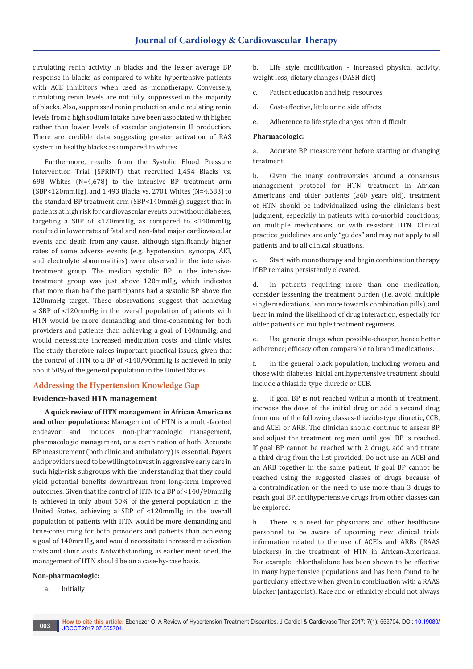circulating renin activity in blacks and the lesser average BP response in blacks as compared to white hypertensive patients with ACE inhibitors when used as monotherapy. Conversely, circulating renin levels are not fully suppressed in the majority of blacks. Also, suppressed renin production and circulating renin levels from a high sodium intake have been associated with higher, rather than lower levels of vascular angiotensin II production. There are credible data suggesting greater activation of RAS system in healthy blacks as compared to whites.

Furthermore, results from the Systolic Blood Pressure Intervention Trial (SPRINT) that recruited 1,454 Blacks vs. 698 Whites (N=4,678) to the intensive BP treatment arm (SBP<120mmHg), and 1,493 Blacks vs. 2701 Whites (N=4,683) to the standard BP treatment arm (SBP<140mmHg) suggest that in patients at high risk for cardiovascular events but without diabetes, targeting a SBP of <120mmHg, as compared to <140mmHg, resulted in lower rates of fatal and non-fatal major cardiovascular events and death from any cause, although significantly higher rates of some adverse events (e.g. hypotension, syncope, AKI, and electrolyte abnormalities) were observed in the intensivetreatment group. The median systolic BP in the intensivetreatment group was just above 120mmHg, which indicates that more than half the participants had a systolic BP above the 120mmHg target. These observations suggest that achieving a SBP of <120mmHg in the overall population of patients with HTN would be more demanding and time-consuming for both providers and patients than achieving a goal of 140mmHg, and would necessitate increased medication costs and clinic visits. The study therefore raises important practical issues, given that the control of HTN to a BP of <140/90mmHg is achieved in only about 50% of the general population in the United States.

# **Addressing the Hypertension Knowledge Gap**

## **Evidence-based HTN management**

**A quick review of HTN management in African Americans and other populations:** Management of HTN is a multi-faceted endeavor and includes non-pharmacologic management, pharmacologic management, or a combination of both. Accurate BP measurement (both clinic and ambulatory) is essential. Payers and providers need to be willing to invest in aggressive early care in such high-risk subgroups with the understanding that they could yield potential benefits downstream from long-term improved outcomes. Given that the control of HTN to a BP of <140/90mmHg is achieved in only about 50% of the general population in the United States, achieving a SBP of <120mmHg in the overall population of patients with HTN would be more demanding and time-consuming for both providers and patients than achieving a goal of 140mmHg, and would necessitate increased medication costs and clinic visits. Notwithstanding, as earlier mentioned, the management of HTN should be on a case-by-case basis.

#### **Non-pharmacologic:**

a. Initially

b. Life style modification - increased physical activity, weight loss, dietary changes (DASH diet)

- c. Patient education and help resources
- d. Cost-effective, little or no side effects
- e. Adherence to life style changes often difficult

## **Pharmacologic:**

a. Accurate BP measurement before starting or changing treatment

b. Given the many controversies around a consensus management protocol for HTN treatment in African Americans and older patients (≥60 years old), treatment of HTN should be individualized using the clinician's best judgment, especially in patients with co-morbid conditions, on multiple medications, or with resistant HTN. Clinical practice guidelines are only "guides" and may not apply to all patients and to all clinical situations.

c. Start with monotherapy and begin combination therapy if BP remains persistently elevated.

d. In patients requiring more than one medication, consider lessening the treatment burden (i.e. avoid multiple single medications, lean more towards combination pills), and bear in mind the likelihood of drug interaction, especially for older patients on multiple treatment regimens.

e. Use generic drugs when possible-cheaper, hence better adherence; efficacy often comparable to brand medications.

f. In the general black population, including women and those with diabetes, initial antihypertensive treatment should include a thiazide-type diuretic or CCB.

g. If goal BP is not reached within a month of treatment, increase the dose of the initial drug or add a second drug from one of the following classes-thiazide-type diuretic, CCB, and ACEI or ARB. The clinician should continue to assess BP and adjust the treatment regimen until goal BP is reached. If goal BP cannot be reached with 2 drugs, add and titrate a third drug from the list provided. Do not use an ACEI and an ARB together in the same patient. If goal BP cannot be reached using the suggested classes of drugs because of a contraindication or the need to use more than 3 drugs to reach goal BP, antihypertensive drugs from other classes can be explored.

h. There is a need for physicians and other healthcare personnel to be aware of upcoming new clinical trials information related to the use of ACEIs and ARBs (RAAS blockers) in the treatment of HTN in African-Americans. For example, chlorthalidone has been shown to be effective in many hypertensive populations and has been found to be particularly effective when given in combination with a RAAS blocker (antagonist). Race and or ethnicity should not always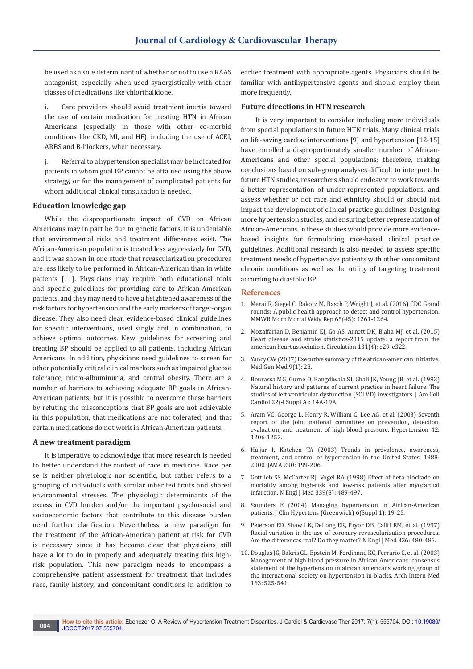be used as a sole determinant of whether or not to use a RAAS antagonist, especially when used synergistically with other classes of medications like chlorthalidone.

i. Care providers should avoid treatment inertia toward the use of certain medication for treating HTN in African Americans (especially in those with other co-morbid conditions like CKD, MI, and HF), including the use of ACEI, ARBS and B-blockers, when necessary.

j. Referral to a hypertension specialist may be indicated for patients in whom goal BP cannot be attained using the above strategy, or for the management of complicated patients for whom additional clinical consultation is needed.

## **Education knowledge gap**

While the disproportionate impact of CVD on African Americans may in part be due to genetic factors, it is undeniable that environmental risks and treatment differences exist. The African-American population is treated less aggressively for CVD, and it was shown in one study that revascularization procedures are less likely to be performed in African-American than in white patients [11]. Physicians may require both educational tools and specific guidelines for providing care to African-American patients, and they may need to have a heightened awareness of the risk factors for hypertension and the early markers of target-organ disease. They also need clear, evidence-based clinical guidelines for specific interventions, used singly and in combination, to achieve optimal outcomes. New guidelines for screening and treating BP should be applied to all patients, including African Americans. In addition, physicians need guidelines to screen for other potentially critical clinical markers such as impaired glucose tolerance, micro-albuminuria, and central obesity. There are a number of barriers to achieving adequate BP goals in African-American patients, but it is possible to overcome these barriers by refuting the misconceptions that BP goals are not achievable in this population, that medications are not tolerated, and that certain medications do not work in African-American patients.

#### **A new treatment paradigm**

It is imperative to acknowledge that more research is needed to better understand the context of race in medicine. Race per se is neither physiologic nor scientific, but rather refers to a grouping of individuals with similar inherited traits and shared environmental stresses. The physiologic determinants of the excess in CVD burden and/or the important psychosocial and socioeconomic factors that contribute to this disease burden need further clarification. Nevertheless, a new paradigm for the treatment of the African-American patient at risk for CVD is necessary since it has become clear that physicians still have a lot to do in properly and adequately treating this highrisk population. This new paradigm needs to encompass a comprehensive patient assessment for treatment that includes race, family history, and concomitant conditions in addition to

earlier treatment with appropriate agents. Physicians should be familiar with antihypertensive agents and should employ them more frequently.

## **Future directions in HTN research**

 It is very important to consider including more individuals from special populations in future HTN trials. Many clinical trials on life-saving cardiac interventions [9] and hypertension [12-15] have enrolled a disproportionately smaller number of African-Americans and other special populations; therefore, making conclusions based on sub-group analyses difficult to interpret. In future HTN studies, researchers should endeavor to work towards a better representation of under-represented populations, and assess whether or not race and ethnicity should or should not impact the development of clinical practice guidelines. Designing more hypertension studies, and ensuring better representation of African-Americans in these studies would provide more evidencebased insights for formulating race-based clinical practice guidelines. Additional research is also needed to assess specific treatment needs of hypertensive patients with other concomitant chronic conditions as well as the utility of targeting treatment according to diastolic BP.

## **References**

- 1. [Merai R, Siegel C, Rakotz M, Basch P, Wright J, et al. \(2016\) CDC Grand](https://www.ncbi.nlm.nih.gov/pubmed/27855138)  [rounds: A public health approach to detect and control hypertension.](https://www.ncbi.nlm.nih.gov/pubmed/27855138)  [MMWR Morb Mortal Wkly Rep 65\(45\): 1261-1264.](https://www.ncbi.nlm.nih.gov/pubmed/27855138)
- 2. [Mozaffarian D, Benjamin EJ, Go AS, Arnett DK, Blaha MJ, et al. \(2015\)](https://www.ncbi.nlm.nih.gov/pubmed/25520374)  [Heart disease and stroke statistics-2015 update: a report from the](https://www.ncbi.nlm.nih.gov/pubmed/25520374)  [american heart association. Circulation 131\(4\): e29-e322.](https://www.ncbi.nlm.nih.gov/pubmed/25520374)
- 3. [Yancy CW \(2007\) Executive summary of the african-american initiative.](https://www.ncbi.nlm.nih.gov/pubmed/17435635)  [Med Gen Med 9\(1\): 28.](https://www.ncbi.nlm.nih.gov/pubmed/17435635)
- 4. [Bourassa MG, Gurné O, Bangdiwala SI, Ghali JK, Young JB, et al. \(1993\)](https://www.ncbi.nlm.nih.gov/pubmed/8376685)  [Natural history and patterns of current practice in heart failure. The](https://www.ncbi.nlm.nih.gov/pubmed/8376685)  [studies of left ventricular dysfunction \(SOLVD\) investigators. J Am Coll](https://www.ncbi.nlm.nih.gov/pubmed/8376685)  [Cardiol 22\(4 Suppl A\): 14A-19A.](https://www.ncbi.nlm.nih.gov/pubmed/8376685)
- 5. Aram VC, George L, Henry R, William C, [Lee AG, et al. \(2003\) Seventh](http://hyper.ahajournals.org/content/42/6/1206)  [report of the joint national committee on prevention, detection,](http://hyper.ahajournals.org/content/42/6/1206)  [evaluation, and treatment of high blood pressure. Hypertension 42:](http://hyper.ahajournals.org/content/42/6/1206)  [1206-1252.](http://hyper.ahajournals.org/content/42/6/1206)
- 6. [Hajjar I, Kotchen TA \(2003\) Trends in prevalence, awareness,](https://www.ncbi.nlm.nih.gov/pubmed/12851274)  [treatment, and control of hypertension in the United States, 1988-](https://www.ncbi.nlm.nih.gov/pubmed/12851274) [2000. JAMA 290: 199-206.](https://www.ncbi.nlm.nih.gov/pubmed/12851274)
- 7. Gottlieb SS, McCarter RJ, Vogel RA (1998) Effect of beta-blockade on mortality among high-risk and low-risk patients after myocardial infarction. N Engl J Med 339(8): 489-497.
- 8. [Saunders E \(2004\) Managing hypertension in African-American](https://www.ncbi.nlm.nih.gov/pubmed/15073463)  [patients. J Clin Hypertens \(Greenwich\) 6\(Suppl 1\): 19-25.](https://www.ncbi.nlm.nih.gov/pubmed/15073463)
- 9. Peterson ED, Shaw LK, DeLong ER, Pryor DB, Califf RM, et al. (1997) Racial variation in the use of coronary-revascularization procedures. Are the differences real? Do they matter? N Engl J Med 336: 480-486.
- 10. [Douglas JG, Bakris GL, Epstein M, Ferdinand KC, Ferrario C, et al. \(2003\)](https://www.ncbi.nlm.nih.gov/pubmed/12622600)  [Management of high blood pressure in African Americans: consensus](https://www.ncbi.nlm.nih.gov/pubmed/12622600)  [statement of the hypertension in african americans working group of](https://www.ncbi.nlm.nih.gov/pubmed/12622600)  [the international society on hypertension in blacks. Arch Intern Med](https://www.ncbi.nlm.nih.gov/pubmed/12622600)  [163: 525-541.](https://www.ncbi.nlm.nih.gov/pubmed/12622600)